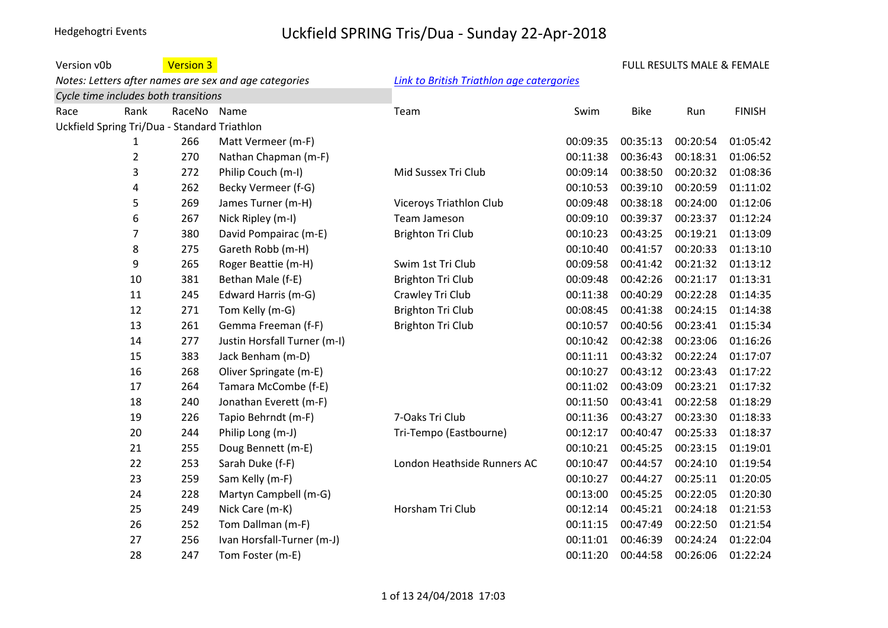#### Version v0b **Version 3** *Notes: Letters after names are sex and age categories [Link to British Triathlon age catergories](https://www.britishtriathlon.org/about-us/faqs?category=age-group) Cycle time includes both transitions* Race Rank RaceNo Name Team Swim Bike Run FINISH Uckfield Spring Tri/Dua - Standard Triathlon 266 Matt Vermeer (m-F) 00:09:35 00:35:13 00:20:54 01:05:42 270 Nathan Chapman (m-F) 00:11:38 00:36:43 00:18:31 01:06:52 272 Philip Couch (m-I) Mid Sussex Tri Club 00:09:14 00:38:50 00:20:32 01:08:36 262 Becky Vermeer (f-G) 00:10:53 00:39:10 00:20:59 01:11:02 269 James Turner (m-H) Viceroys Triathlon Club 00:09:48 00:38:18 00:24:00 01:12:06 267 Nick Ripley (m-I) Team Jameson 00:09:10 00:39:37 00:23:37 01:12:24 380 David Pompairac (m-E) Brighton Tri Club 00:10:23 00:43:25 00:19:21 01:13:09 275 Gareth Robb (m-H) 00:10:40 00:41:57 00:20:33 01:13:10 265 Roger Beattie (m-H) Swim 1st Tri Club 00:09:58 00:41:42 00:21:32 01:13:12 381 Bethan Male (f-E) Brighton Tri Club 00:09:48 00:42:26 00:21:17 01:13:31 245 Edward Harris (m-G) Crawley Tri Club 00:11:38 00:40:29 00:22:28 01:14:35 271 Tom Kelly (m-G) Brighton Tri Club 00:08:45 00:41:38 00:24:15 01:14:38 261 Gemma Freeman (f-F) Brighton Tri Club 00:10:57 00:40:56 00:23:41 01:15:34 277 Justin Horsfall Turner (m-I) 00:10:42 00:42:38 00:23:06 01:16:26 383 Jack Benham (m-D) 00:11:11 00:43:32 00:22:24 01:17:07 268 Oliver Springate (m-E) 00:10:27 00:43:12 00:23:43 01:17:22 264 Tamara McCombe (f-E) 00:11:02 00:43:09 00:23:21 01:17:32 240 Jonathan Everett (m-F) 00:11:50 00:43:41 00:22:58 01:18:29 226 Tapio Behrndt (m-F) 7-Oaks Tri Club 00:11:36 00:43:27 00:23:30 01:18:33 244 Philip Long (m-J) Tri-Tempo (Eastbourne) 00:12:17 00:40:47 00:25:33 01:18:37 255 Doug Bennett (m-E) 00:10:21 00:45:25 00:23:15 01:19:01 253 Sarah Duke (f-F) London Heathside Runners AC 00:10:47 00:44:57 00:24:10 01:19:54 259 Sam Kelly (m-F) 00:10:27 00:44:27 00:25:11 01:20:05 228 Martyn Campbell (m-G) 00:13:00 00:45:25 00:22:05 01:20:30 249 Nick Care (m-K) Horsham Tri Club 00:12:14 00:45:21 00:24:18 01:21:53 252 Tom Dallman (m-F) 00:11:15 00:47:49 00:22:50 01:21:54 256 Ivan Horsfall-Turner (m-J) 00:11:01 00:46:39 00:24:24 01:22:04 247 Tom Foster (m-E) 00:11:20 00:44:58 00:26:06 01:22:24 FULL RESULTS MALE & FEMALE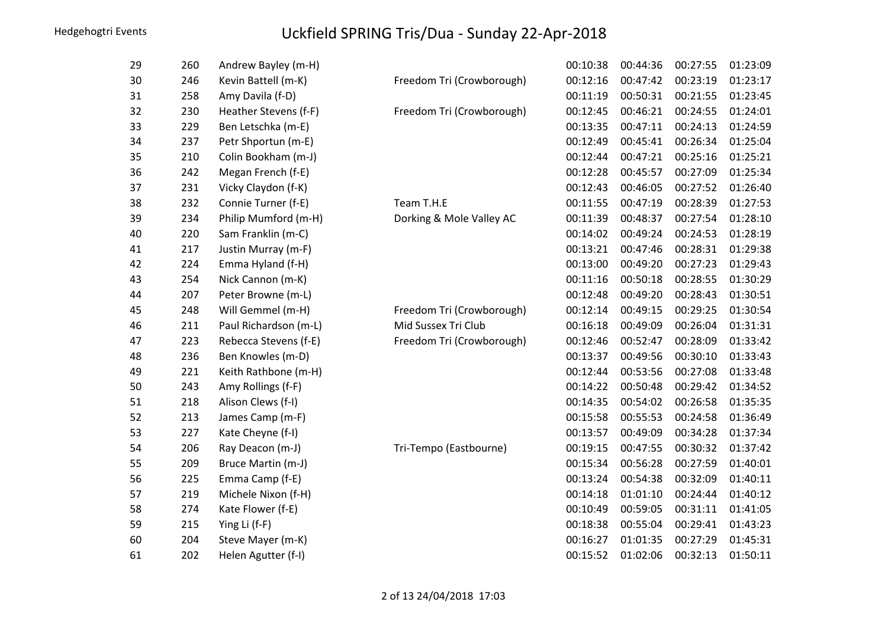| 29 | 260 | Andrew Bayley (m-H)   |                           | 00:10:38 | 00:44:36 | 00:27:55 | 01:23:09 |
|----|-----|-----------------------|---------------------------|----------|----------|----------|----------|
| 30 | 246 | Kevin Battell (m-K)   | Freedom Tri (Crowborough) | 00:12:16 | 00:47:42 | 00:23:19 | 01:23:17 |
| 31 | 258 | Amy Davila (f-D)      |                           | 00:11:19 | 00:50:31 | 00:21:55 | 01:23:45 |
| 32 | 230 | Heather Stevens (f-F) | Freedom Tri (Crowborough) | 00:12:45 | 00:46:21 | 00:24:55 | 01:24:01 |
| 33 | 229 | Ben Letschka (m-E)    |                           | 00:13:35 | 00:47:11 | 00:24:13 | 01:24:59 |
| 34 | 237 | Petr Shportun (m-E)   |                           | 00:12:49 | 00:45:41 | 00:26:34 | 01:25:04 |
| 35 | 210 | Colin Bookham (m-J)   |                           | 00:12:44 | 00:47:21 | 00:25:16 | 01:25:21 |
| 36 | 242 | Megan French (f-E)    |                           | 00:12:28 | 00:45:57 | 00:27:09 | 01:25:34 |
| 37 | 231 | Vicky Claydon (f-K)   |                           | 00:12:43 | 00:46:05 | 00:27:52 | 01:26:40 |
| 38 | 232 | Connie Turner (f-E)   | Team T.H.E                | 00:11:55 | 00:47:19 | 00:28:39 | 01:27:53 |
| 39 | 234 | Philip Mumford (m-H)  | Dorking & Mole Valley AC  | 00:11:39 | 00:48:37 | 00:27:54 | 01:28:10 |
| 40 | 220 | Sam Franklin (m-C)    |                           | 00:14:02 | 00:49:24 | 00:24:53 | 01:28:19 |
| 41 | 217 | Justin Murray (m-F)   |                           | 00:13:21 | 00:47:46 | 00:28:31 | 01:29:38 |
| 42 | 224 | Emma Hyland (f-H)     |                           | 00:13:00 | 00:49:20 | 00:27:23 | 01:29:43 |
| 43 | 254 | Nick Cannon (m-K)     |                           | 00:11:16 | 00:50:18 | 00:28:55 | 01:30:29 |
| 44 | 207 | Peter Browne (m-L)    |                           | 00:12:48 | 00:49:20 | 00:28:43 | 01:30:51 |
| 45 | 248 | Will Gemmel (m-H)     | Freedom Tri (Crowborough) | 00:12:14 | 00:49:15 | 00:29:25 | 01:30:54 |
| 46 | 211 | Paul Richardson (m-L) | Mid Sussex Tri Club       | 00:16:18 | 00:49:09 | 00:26:04 | 01:31:31 |
| 47 | 223 | Rebecca Stevens (f-E) | Freedom Tri (Crowborough) | 00:12:46 | 00:52:47 | 00:28:09 | 01:33:42 |
| 48 | 236 | Ben Knowles (m-D)     |                           | 00:13:37 | 00:49:56 | 00:30:10 | 01:33:43 |
| 49 | 221 | Keith Rathbone (m-H)  |                           | 00:12:44 | 00:53:56 | 00:27:08 | 01:33:48 |
| 50 | 243 | Amy Rollings (f-F)    |                           | 00:14:22 | 00:50:48 | 00:29:42 | 01:34:52 |
| 51 | 218 | Alison Clews (f-I)    |                           | 00:14:35 | 00:54:02 | 00:26:58 | 01:35:35 |
| 52 | 213 | James Camp (m-F)      |                           | 00:15:58 | 00:55:53 | 00:24:58 | 01:36:49 |
| 53 | 227 | Kate Cheyne (f-I)     |                           | 00:13:57 | 00:49:09 | 00:34:28 | 01:37:34 |
| 54 | 206 | Ray Deacon (m-J)      | Tri-Tempo (Eastbourne)    | 00:19:15 | 00:47:55 | 00:30:32 | 01:37:42 |
| 55 | 209 | Bruce Martin (m-J)    |                           | 00:15:34 | 00:56:28 | 00:27:59 | 01:40:01 |
| 56 | 225 | Emma Camp (f-E)       |                           | 00:13:24 | 00:54:38 | 00:32:09 | 01:40:11 |
| 57 | 219 | Michele Nixon (f-H)   |                           | 00:14:18 | 01:01:10 | 00:24:44 | 01:40:12 |
| 58 | 274 | Kate Flower (f-E)     |                           | 00:10:49 | 00:59:05 | 00:31:11 | 01:41:05 |
| 59 | 215 | Ying Li (f-F)         |                           | 00:18:38 | 00:55:04 | 00:29:41 | 01:43:23 |
| 60 | 204 | Steve Mayer (m-K)     |                           | 00:16:27 | 01:01:35 | 00:27:29 | 01:45:31 |
| 61 | 202 | Helen Agutter (f-I)   |                           | 00:15:52 | 01:02:06 | 00:32:13 | 01:50:11 |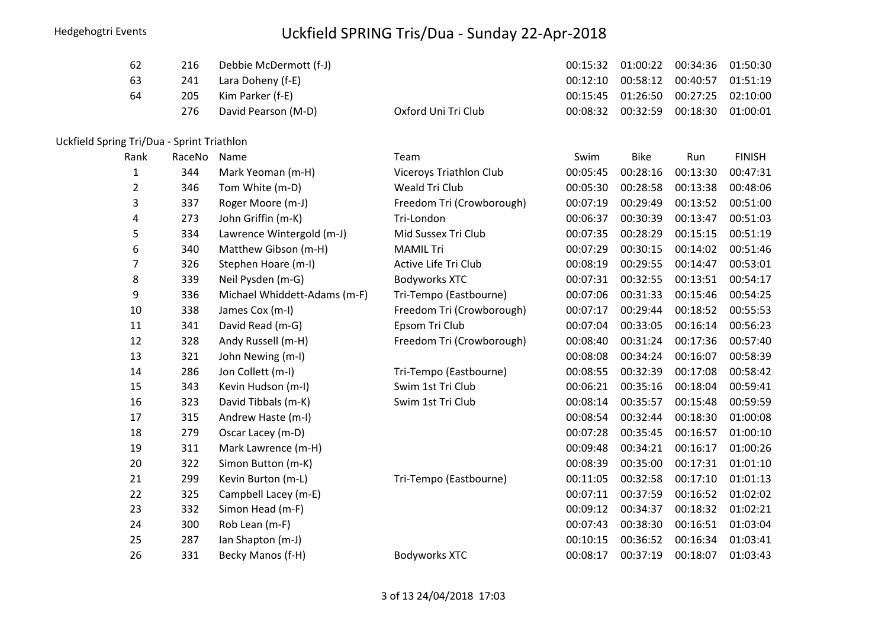| 62 | 216 | Debbie McDermott (f-J) |                     | 00:15:32  01:00:22  00:34:36  01:50:30 |  |
|----|-----|------------------------|---------------------|----------------------------------------|--|
| 63 |     | 241 Lara Doheny (f-E)  |                     | 00:12:10 00:58:12 00:40:57 01:51:19    |  |
| 64 | 205 | Kim Parker (f-E)       |                     | 00:15:45  01:26:50  00:27:25  02:10:00 |  |
|    | 276 | David Pearson (M-D)    | Oxford Uni Tri Club | 00:08:32 00:32:59 00:18:30 01:00:01    |  |
|    |     |                        |                     |                                        |  |

#### Uckfield Spring Tri/Dua - Sprint Triathlon

| Rank | RaceNo | Name                         | Team                      | Swim     | <b>Bike</b> | Run      | <b>FINISH</b> |
|------|--------|------------------------------|---------------------------|----------|-------------|----------|---------------|
| 1    | 344    | Mark Yeoman (m-H)            | Viceroys Triathlon Club   | 00:05:45 | 00:28:16    | 00:13:30 | 00:47:31      |
| 2    | 346    | Tom White (m-D)              | Weald Tri Club            | 00:05:30 | 00:28:58    | 00:13:38 | 00:48:06      |
| 3    | 337    | Roger Moore (m-J)            | Freedom Tri (Crowborough) | 00:07:19 | 00:29:49    | 00:13:52 | 00:51:00      |
| 4    | 273    | John Griffin (m-K)           | Tri-London                | 00:06:37 | 00:30:39    | 00:13:47 | 00:51:03      |
| 5    | 334    | Lawrence Wintergold (m-J)    | Mid Sussex Tri Club       | 00:07:35 | 00:28:29    | 00:15:15 | 00:51:19      |
| 6    | 340    | Matthew Gibson (m-H)         | <b>MAMIL Tri</b>          | 00:07:29 | 00:30:15    | 00:14:02 | 00:51:46      |
| 7    | 326    | Stephen Hoare (m-I)          | Active Life Tri Club      | 00:08:19 | 00:29:55    | 00:14:47 | 00:53:01      |
| 8    | 339    | Neil Pysden (m-G)            | <b>Bodyworks XTC</b>      | 00:07:31 | 00:32:55    | 00:13:51 | 00:54:17      |
| 9    | 336    | Michael Whiddett-Adams (m-F) | Tri-Tempo (Eastbourne)    | 00:07:06 | 00:31:33    | 00:15:46 | 00:54:25      |
| 10   | 338    | James Cox (m-I)              | Freedom Tri (Crowborough) | 00:07:17 | 00:29:44    | 00:18:52 | 00:55:53      |
| 11   | 341    | David Read (m-G)             | Epsom Tri Club            | 00:07:04 | 00:33:05    | 00:16:14 | 00:56:23      |
| 12   | 328    | Andy Russell (m-H)           | Freedom Tri (Crowborough) | 00:08:40 | 00:31:24    | 00:17:36 | 00:57:40      |
| 13   | 321    | John Newing (m-I)            |                           | 00:08:08 | 00:34:24    | 00:16:07 | 00:58:39      |
| 14   | 286    | Jon Collett (m-I)            | Tri-Tempo (Eastbourne)    | 00:08:55 | 00:32:39    | 00:17:08 | 00:58:42      |
| 15   | 343    | Kevin Hudson (m-I)           | Swim 1st Tri Club         | 00:06:21 | 00:35:16    | 00:18:04 | 00:59:41      |
| 16   | 323    | David Tibbals (m-K)          | Swim 1st Tri Club         | 00:08:14 | 00:35:57    | 00:15:48 | 00:59:59      |
| 17   | 315    | Andrew Haste (m-I)           |                           | 00:08:54 | 00:32:44    | 00:18:30 | 01:00:08      |
| 18   | 279    | Oscar Lacey (m-D)            |                           | 00:07:28 | 00:35:45    | 00:16:57 | 01:00:10      |
| 19   | 311    | Mark Lawrence (m-H)          |                           | 00:09:48 | 00:34:21    | 00:16:17 | 01:00:26      |
| 20   | 322    | Simon Button (m-K)           |                           | 00:08:39 | 00:35:00    | 00:17:31 | 01:01:10      |
| 21   | 299    | Kevin Burton (m-L)           | Tri-Tempo (Eastbourne)    | 00:11:05 | 00:32:58    | 00:17:10 | 01:01:13      |
| 22   | 325    | Campbell Lacey (m-E)         |                           | 00:07:11 | 00:37:59    | 00:16:52 | 01:02:02      |
| 23   | 332    | Simon Head (m-F)             |                           | 00:09:12 | 00:34:37    | 00:18:32 | 01:02:21      |
| 24   | 300    | Rob Lean (m-F)               |                           | 00:07:43 | 00:38:30    | 00:16:51 | 01:03:04      |
| 25   | 287    | Ian Shapton (m-J)            |                           | 00:10:15 | 00:36:52    | 00:16:34 | 01:03:41      |
| 26   | 331    | Becky Manos (f-H)            | <b>Bodyworks XTC</b>      | 00:08:17 | 00:37:19    | 00:18:07 | 01:03:43      |
|      |        |                              |                           |          |             |          |               |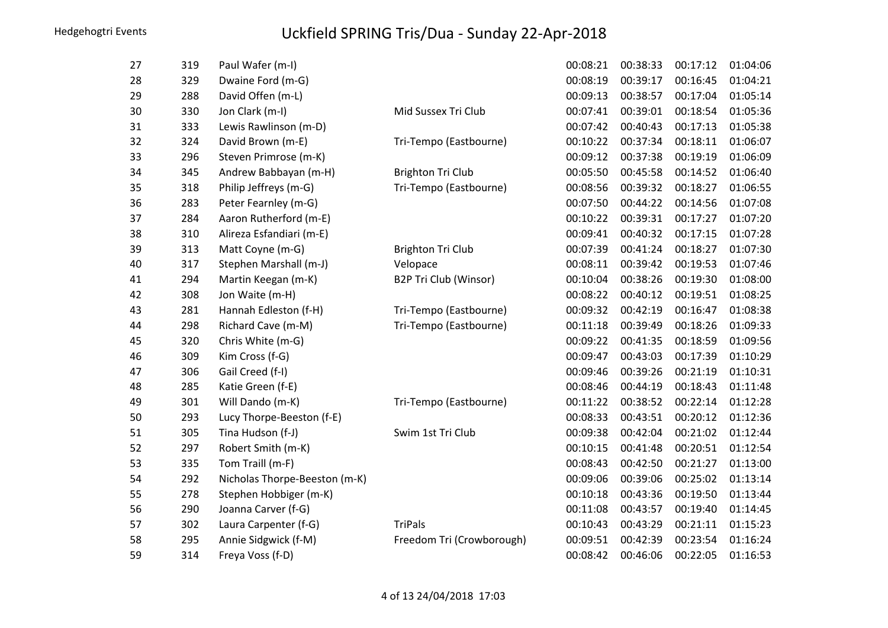| 27 | 319 | Paul Wafer (m-I)              |                           | 00:08:21 | 00:38:33 | 00:17:12 | 01:04:06 |
|----|-----|-------------------------------|---------------------------|----------|----------|----------|----------|
| 28 | 329 | Dwaine Ford (m-G)             |                           | 00:08:19 | 00:39:17 | 00:16:45 | 01:04:21 |
| 29 | 288 | David Offen (m-L)             |                           | 00:09:13 | 00:38:57 | 00:17:04 | 01:05:14 |
| 30 | 330 | Jon Clark (m-I)               | Mid Sussex Tri Club       | 00:07:41 | 00:39:01 | 00:18:54 | 01:05:36 |
| 31 | 333 | Lewis Rawlinson (m-D)         |                           | 00:07:42 | 00:40:43 | 00:17:13 | 01:05:38 |
| 32 | 324 | David Brown (m-E)             | Tri-Tempo (Eastbourne)    | 00:10:22 | 00:37:34 | 00:18:11 | 01:06:07 |
| 33 | 296 | Steven Primrose (m-K)         |                           | 00:09:12 | 00:37:38 | 00:19:19 | 01:06:09 |
| 34 | 345 | Andrew Babbayan (m-H)         | <b>Brighton Tri Club</b>  | 00:05:50 | 00:45:58 | 00:14:52 | 01:06:40 |
| 35 | 318 | Philip Jeffreys (m-G)         | Tri-Tempo (Eastbourne)    | 00:08:56 | 00:39:32 | 00:18:27 | 01:06:55 |
| 36 | 283 | Peter Fearnley (m-G)          |                           | 00:07:50 | 00:44:22 | 00:14:56 | 01:07:08 |
| 37 | 284 | Aaron Rutherford (m-E)        |                           | 00:10:22 | 00:39:31 | 00:17:27 | 01:07:20 |
| 38 | 310 | Alireza Esfandiari (m-E)      |                           | 00:09:41 | 00:40:32 | 00:17:15 | 01:07:28 |
| 39 | 313 | Matt Coyne (m-G)              | <b>Brighton Tri Club</b>  | 00:07:39 | 00:41:24 | 00:18:27 | 01:07:30 |
| 40 | 317 | Stephen Marshall (m-J)        | Velopace                  | 00:08:11 | 00:39:42 | 00:19:53 | 01:07:46 |
| 41 | 294 | Martin Keegan (m-K)           | B2P Tri Club (Winsor)     | 00:10:04 | 00:38:26 | 00:19:30 | 01:08:00 |
| 42 | 308 | Jon Waite (m-H)               |                           | 00:08:22 | 00:40:12 | 00:19:51 | 01:08:25 |
| 43 | 281 | Hannah Edleston (f-H)         | Tri-Tempo (Eastbourne)    | 00:09:32 | 00:42:19 | 00:16:47 | 01:08:38 |
| 44 | 298 | Richard Cave (m-M)            | Tri-Tempo (Eastbourne)    | 00:11:18 | 00:39:49 | 00:18:26 | 01:09:33 |
| 45 | 320 | Chris White (m-G)             |                           | 00:09:22 | 00:41:35 | 00:18:59 | 01:09:56 |
| 46 | 309 | Kim Cross (f-G)               |                           | 00:09:47 | 00:43:03 | 00:17:39 | 01:10:29 |
| 47 | 306 | Gail Creed (f-I)              |                           | 00:09:46 | 00:39:26 | 00:21:19 | 01:10:31 |
| 48 | 285 | Katie Green (f-E)             |                           | 00:08:46 | 00:44:19 | 00:18:43 | 01:11:48 |
| 49 | 301 | Will Dando (m-K)              | Tri-Tempo (Eastbourne)    | 00:11:22 | 00:38:52 | 00:22:14 | 01:12:28 |
| 50 | 293 | Lucy Thorpe-Beeston (f-E)     |                           | 00:08:33 | 00:43:51 | 00:20:12 | 01:12:36 |
| 51 | 305 | Tina Hudson (f-J)             | Swim 1st Tri Club         | 00:09:38 | 00:42:04 | 00:21:02 | 01:12:44 |
| 52 | 297 | Robert Smith (m-K)            |                           | 00:10:15 | 00:41:48 | 00:20:51 | 01:12:54 |
| 53 | 335 | Tom Traill (m-F)              |                           | 00:08:43 | 00:42:50 | 00:21:27 | 01:13:00 |
| 54 | 292 | Nicholas Thorpe-Beeston (m-K) |                           | 00:09:06 | 00:39:06 | 00:25:02 | 01:13:14 |
| 55 | 278 | Stephen Hobbiger (m-K)        |                           | 00:10:18 | 00:43:36 | 00:19:50 | 01:13:44 |
| 56 | 290 | Joanna Carver (f-G)           |                           | 00:11:08 | 00:43:57 | 00:19:40 | 01:14:45 |
| 57 | 302 | Laura Carpenter (f-G)         | <b>TriPals</b>            | 00:10:43 | 00:43:29 | 00:21:11 | 01:15:23 |
| 58 | 295 | Annie Sidgwick (f-M)          | Freedom Tri (Crowborough) | 00:09:51 | 00:42:39 | 00:23:54 | 01:16:24 |
| 59 | 314 | Freya Voss (f-D)              |                           | 00:08:42 | 00:46:06 | 00:22:05 | 01:16:53 |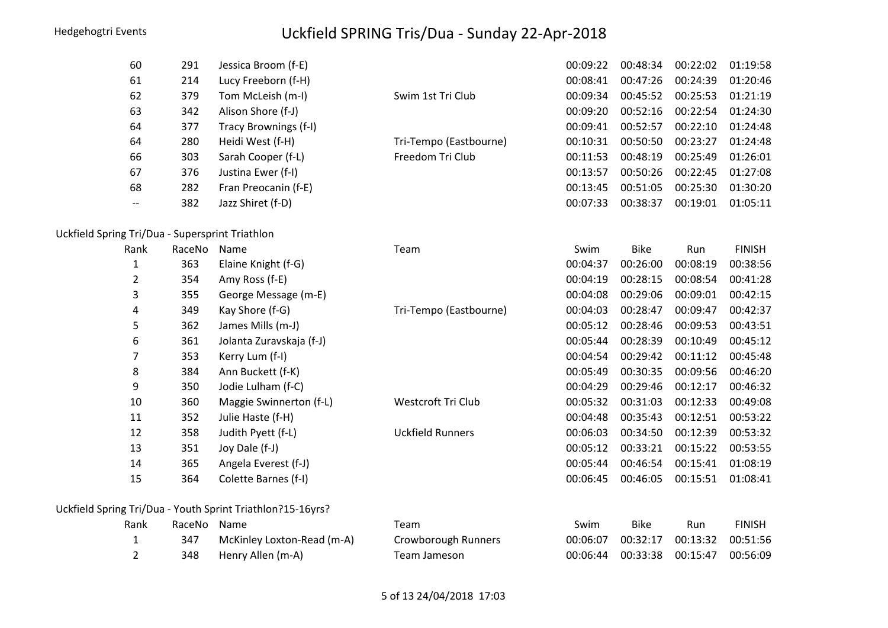|                                                 | 60             | 291    | Jessica Broom (f-E)                                        |                         | 00:09:22 | 00:48:34    | 00:22:02 | 01:19:58      |
|-------------------------------------------------|----------------|--------|------------------------------------------------------------|-------------------------|----------|-------------|----------|---------------|
|                                                 | 61             | 214    | Lucy Freeborn (f-H)                                        |                         | 00:08:41 | 00:47:26    | 00:24:39 | 01:20:46      |
|                                                 | 62             | 379    | Tom McLeish (m-I)                                          | Swim 1st Tri Club       | 00:09:34 | 00:45:52    | 00:25:53 | 01:21:19      |
|                                                 | 63             | 342    | Alison Shore (f-J)                                         |                         | 00:09:20 | 00:52:16    | 00:22:54 | 01:24:30      |
|                                                 | 64             | 377    | Tracy Brownings (f-I)                                      |                         | 00:09:41 | 00:52:57    | 00:22:10 | 01:24:48      |
|                                                 | 64             | 280    | Heidi West (f-H)                                           | Tri-Tempo (Eastbourne)  | 00:10:31 | 00:50:50    | 00:23:27 | 01:24:48      |
|                                                 | 66             | 303    | Sarah Cooper (f-L)                                         | Freedom Tri Club        | 00:11:53 | 00:48:19    | 00:25:49 | 01:26:01      |
|                                                 | 67             | 376    | Justina Ewer (f-I)                                         |                         | 00:13:57 | 00:50:26    | 00:22:45 | 01:27:08      |
|                                                 | 68             | 282    | Fran Preocanin (f-E)                                       |                         | 00:13:45 | 00:51:05    | 00:25:30 | 01:30:20      |
|                                                 | --             | 382    | Jazz Shiret (f-D)                                          |                         | 00:07:33 | 00:38:37    | 00:19:01 | 01:05:11      |
| Uckfield Spring Tri/Dua - Supersprint Triathlon |                |        |                                                            |                         |          |             |          |               |
|                                                 | Rank           | RaceNo | Name                                                       | Team                    | Swim     | <b>Bike</b> | Run      | <b>FINISH</b> |
|                                                 | $\mathbf{1}$   | 363    | Elaine Knight (f-G)                                        |                         | 00:04:37 | 00:26:00    | 00:08:19 | 00:38:56      |
|                                                 | $\overline{2}$ | 354    | Amy Ross (f-E)                                             |                         | 00:04:19 | 00:28:15    | 00:08:54 | 00:41:28      |
|                                                 | 3              | 355    | George Message (m-E)                                       |                         | 00:04:08 | 00:29:06    | 00:09:01 | 00:42:15      |
|                                                 | 4              | 349    | Kay Shore (f-G)                                            | Tri-Tempo (Eastbourne)  | 00:04:03 | 00:28:47    | 00:09:47 | 00:42:37      |
|                                                 | 5              | 362    | James Mills (m-J)                                          |                         | 00:05:12 | 00:28:46    | 00:09:53 | 00:43:51      |
|                                                 | 6              | 361    | Jolanta Zuravskaja (f-J)                                   |                         | 00:05:44 | 00:28:39    | 00:10:49 | 00:45:12      |
|                                                 | 7              | 353    | Kerry Lum (f-I)                                            |                         | 00:04:54 | 00:29:42    | 00:11:12 | 00:45:48      |
|                                                 | 8              | 384    | Ann Buckett (f-K)                                          |                         | 00:05:49 | 00:30:35    | 00:09:56 | 00:46:20      |
|                                                 | 9              | 350    | Jodie Lulham (f-C)                                         |                         | 00:04:29 | 00:29:46    | 00:12:17 | 00:46:32      |
|                                                 | 10             | 360    | Maggie Swinnerton (f-L)                                    | Westcroft Tri Club      | 00:05:32 | 00:31:03    | 00:12:33 | 00:49:08      |
|                                                 | 11             | 352    | Julie Haste (f-H)                                          |                         | 00:04:48 | 00:35:43    | 00:12:51 | 00:53:22      |
|                                                 | 12             | 358    | Judith Pyett (f-L)                                         | <b>Uckfield Runners</b> | 00:06:03 | 00:34:50    | 00:12:39 | 00:53:32      |
|                                                 | 13             | 351    | Joy Dale (f-J)                                             |                         | 00:05:12 | 00:33:21    | 00:15:22 | 00:53:55      |
|                                                 | 14             | 365    | Angela Everest (f-J)                                       |                         | 00:05:44 | 00:46:54    | 00:15:41 | 01:08:19      |
|                                                 | 15             | 364    | Colette Barnes (f-I)                                       |                         | 00:06:45 | 00:46:05    | 00:15:51 | 01:08:41      |
|                                                 |                |        | Uckfield Spring Tri/Dua - Youth Sprint Triathlon?15-16yrs? |                         |          |             |          |               |
|                                                 | Rank           | RaceNo | Name                                                       | Team                    | Swim     | <b>Bike</b> | Run      | <b>FINISH</b> |
|                                                 | $\mathbf{1}$   | 347    | McKinley Loxton-Read (m-A)                                 | Crowborough Runners     | 00:06:07 | 00:32:17    | 00:13:32 | 00:51:56      |
|                                                 | $\overline{2}$ | 348    | Henry Allen (m-A)                                          | Team Jameson            | 00:06:44 | 00:33:38    | 00:15:47 | 00:56:09      |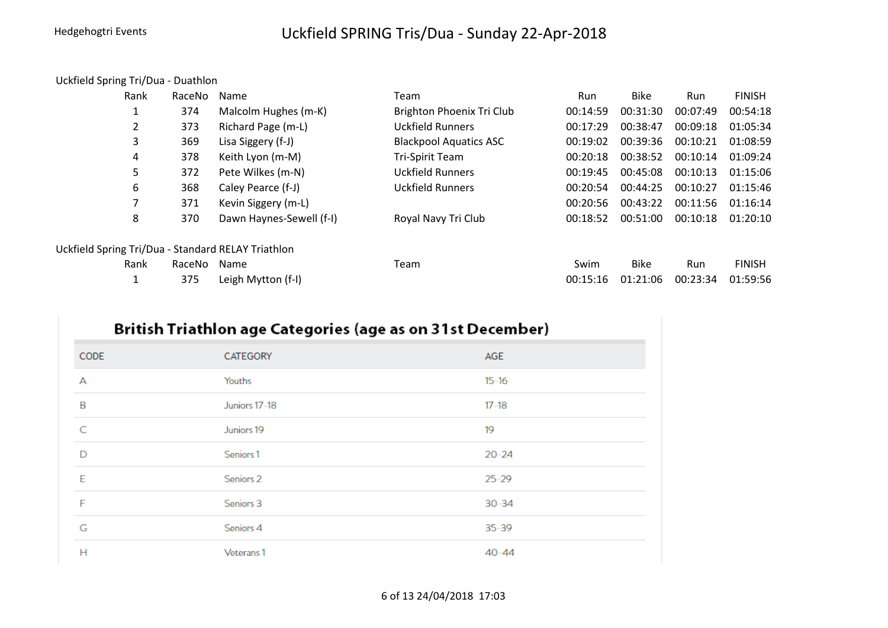#### Uckfield Spring Tri/Dua - Duathlon

| Rank | RaceNo | Name                                               | Team                          | Run      | <b>Bike</b> | Run      | <b>FINISH</b> |
|------|--------|----------------------------------------------------|-------------------------------|----------|-------------|----------|---------------|
| 1    | 374    | Malcolm Hughes (m-K)                               | Brighton Phoenix Tri Club     | 00:14:59 | 00:31:30    | 00:07:49 | 00:54:18      |
| 2    | 373    | Richard Page (m-L)                                 | Uckfield Runners              | 00:17:29 | 00:38:47    | 00:09:18 | 01:05:34      |
| 3    | 369    | Lisa Siggery (f-J)                                 | <b>Blackpool Aquatics ASC</b> | 00:19:02 | 00:39:36    | 00:10:21 | 01:08:59      |
| 4    | 378    | Keith Lyon (m-M)                                   | Tri-Spirit Team               | 00:20:18 | 00:38:52    | 00:10:14 | 01:09:24      |
| 5    | 372    | Pete Wilkes (m-N)                                  | <b>Uckfield Runners</b>       | 00:19:45 | 00:45:08    | 00:10:13 | 01:15:06      |
| 6    | 368    | Caley Pearce (f-J)                                 | <b>Uckfield Runners</b>       | 00:20:54 | 00:44:25    | 00:10:27 | 01:15:46      |
| 7    | 371    | Kevin Siggery (m-L)                                |                               | 00:20:56 | 00:43:22    | 00:11:56 | 01:16:14      |
| 8    | 370    | Dawn Haynes-Sewell (f-I)                           | Royal Navy Tri Club           | 00:18:52 | 00:51:00    | 00:10:18 | 01:20:10      |
|      |        | Uckfield Spring Tri/Dua - Standard RELAY Triathlon |                               |          |             |          |               |
| Rank | RaceNo | Name                                               | Team                          | Swim     | <b>Bike</b> | Run      | <b>FINISH</b> |
|      | 375    | Leigh Mytton (f-I)                                 |                               | 00:15:16 | 01:21:06    | 00:23:34 | 01:59:56      |

## British Triathlon age Categories (age as on 31st December)

| CODE | CATEGORY             | AGE       |
|------|----------------------|-----------|
| А    | Youths               | $15 - 16$ |
| B    | Juniors 17-18        | $17 - 18$ |
| C    | Juniors 19           | 19        |
| D    | Seniors <sub>1</sub> | $20 - 24$ |
| E    | Seniors <sub>2</sub> | $25 - 29$ |
| F    | Seniors 3            | $30 - 34$ |
| G    | Seniors 4            | $35 - 39$ |
| Н    | Veterans 1           | $40 - 44$ |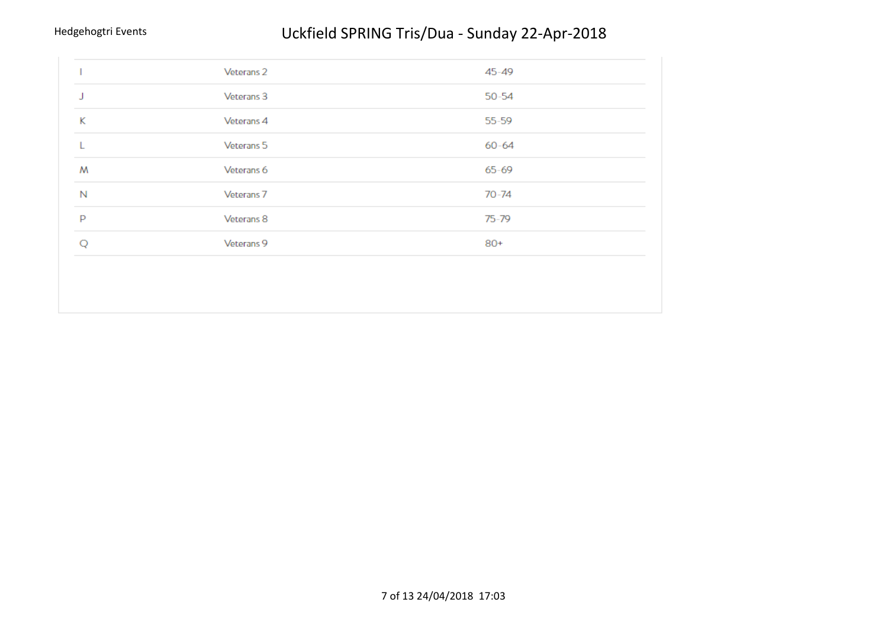| Veterans <sub>2</sub><br>$45 - 49$<br>Veterans 3<br>$50 - 54$<br>J<br>K<br>$55 - 59$<br>Veterans 4<br>Veterans 5<br>$60 - 64$<br>M<br>Veterans 6<br>$65 - 69$<br>N<br>Veterans <sub>7</sub><br>$70 - 74$<br>P<br>Veterans 8<br>$75 - 79$<br>Veterans 9<br>$80+$ |  |  |
|-----------------------------------------------------------------------------------------------------------------------------------------------------------------------------------------------------------------------------------------------------------------|--|--|
|                                                                                                                                                                                                                                                                 |  |  |
|                                                                                                                                                                                                                                                                 |  |  |
|                                                                                                                                                                                                                                                                 |  |  |
|                                                                                                                                                                                                                                                                 |  |  |
|                                                                                                                                                                                                                                                                 |  |  |
|                                                                                                                                                                                                                                                                 |  |  |
|                                                                                                                                                                                                                                                                 |  |  |
|                                                                                                                                                                                                                                                                 |  |  |
|                                                                                                                                                                                                                                                                 |  |  |
|                                                                                                                                                                                                                                                                 |  |  |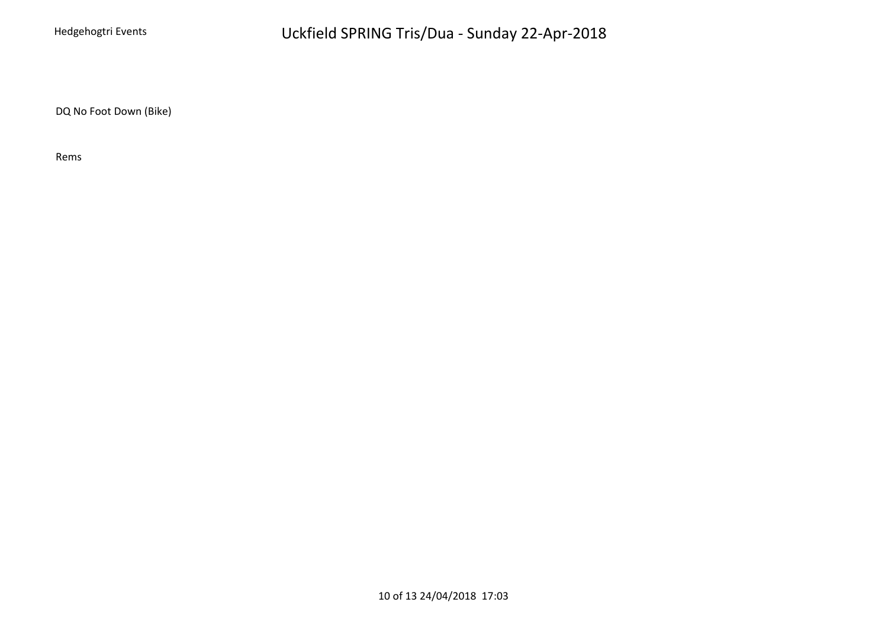DQ No Foot Down (Bike)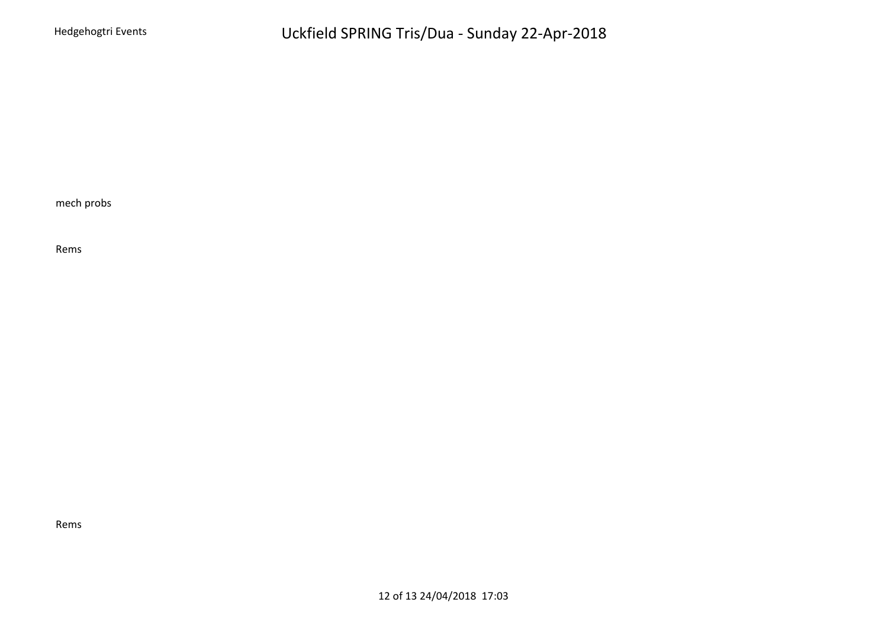mech probs

Rems